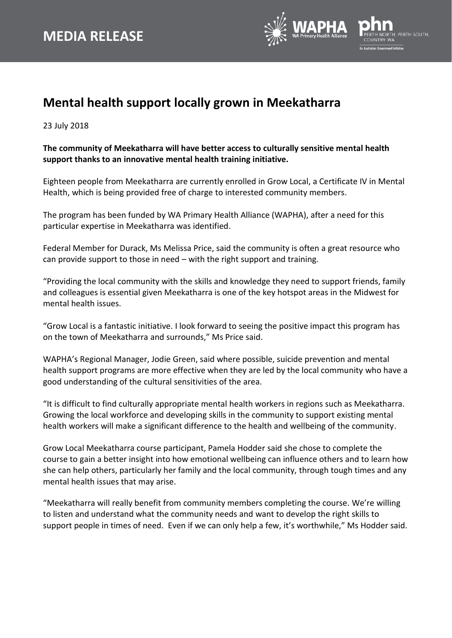

## **Mental health support locally grown in Meekatharra**

23 July 2018

## **The community of Meekatharra will have better access to culturally sensitive mental health support thanks to an innovative mental health training initiative.**

Eighteen people from Meekatharra are currently enrolled in Grow Local, a Certificate IV in Mental Health, which is being provided free of charge to interested community members.

The program has been funded by WA Primary Health Alliance (WAPHA), after a need for this particular expertise in Meekatharra was identified.

Federal Member for Durack, Ms Melissa Price, said the community is often a great resource who can provide support to those in need – with the right support and training.

"Providing the local community with the skills and knowledge they need to support friends, family and colleagues is essential given Meekatharra is one of the key hotspot areas in the Midwest for mental health issues.

"Grow Local is a fantastic initiative. I look forward to seeing the positive impact this program has on the town of Meekatharra and surrounds," Ms Price said.

WAPHA's Regional Manager, Jodie Green, said where possible, suicide prevention and mental health support programs are more effective when they are led by the local community who have a good understanding of the cultural sensitivities of the area.

"It is difficult to find culturally appropriate mental health workers in regions such as Meekatharra. Growing the local workforce and developing skills in the community to support existing mental health workers will make a significant difference to the health and wellbeing of the community.

Grow Local Meekatharra course participant, Pamela Hodder said she chose to complete the course to gain a better insight into how emotional wellbeing can influence others and to learn how she can help others, particularly her family and the local community, through tough times and any mental health issues that may arise.

"Meekatharra will really benefit from community members completing the course. We're willing to listen and understand what the community needs and want to develop the right skills to support people in times of need. Even if we can only help a few, it's worthwhile," Ms Hodder said.